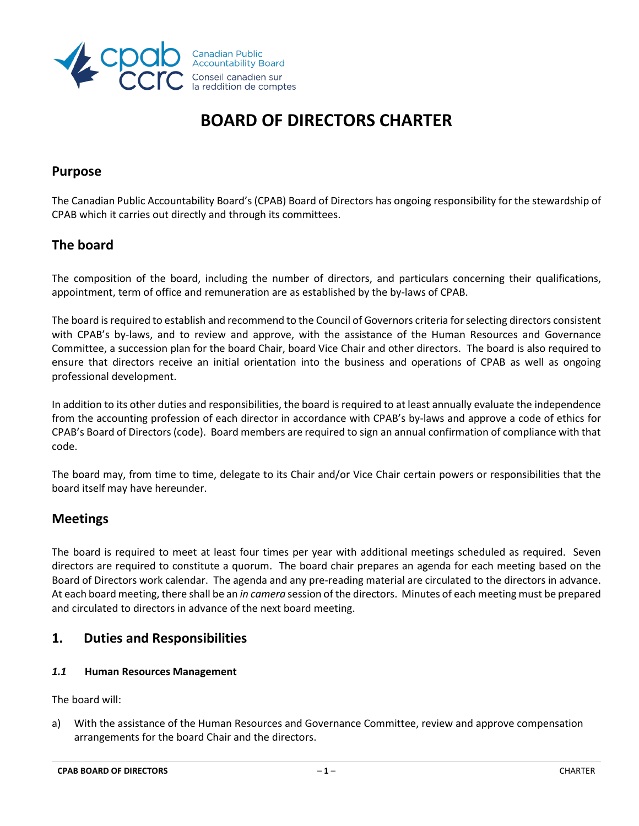

# **BOARD OF DIRECTORS CHARTER**

### **Purpose**

The Canadian Public Accountability Board's (CPAB) Board of Directors has ongoing responsibility for the stewardship of CPAB which it carries out directly and through its committees.

# **The board**

The composition of the board, including the number of directors, and particulars concerning their qualifications, appointment, term of office and remuneration are as established by the by-laws of CPAB.

The board is required to establish and recommend to the Council of Governors criteria for selecting directors consistent with CPAB's by-laws, and to review and approve, with the assistance of the Human Resources and Governance Committee, a succession plan for the board Chair, board Vice Chair and other directors. The board is also required to ensure that directors receive an initial orientation into the business and operations of CPAB as well as ongoing professional development.

In addition to its other duties and responsibilities, the board is required to at least annually evaluate the independence from the accounting profession of each director in accordance with CPAB's by-laws and approve a code of ethics for CPAB's Board of Directors (code). Board members are required to sign an annual confirmation of compliance with that code.

The board may, from time to time, delegate to its Chair and/or Vice Chair certain powers or responsibilities that the board itself may have hereunder.

# **Meetings**

The board is required to meet at least four times per year with additional meetings scheduled as required. Seven directors are required to constitute a quorum. The board chair prepares an agenda for each meeting based on the Board of Directors work calendar. The agenda and any pre-reading material are circulated to the directors in advance. At each board meeting, there shall be an *in camera* session of the directors. Minutes of each meeting must be prepared and circulated to directors in advance of the next board meeting.

# **1. Duties and Responsibilities**

#### *1.1* **Human Resources Management**

The board will:

a) With the assistance of the Human Resources and Governance Committee, review and approve compensation arrangements for the board Chair and the directors.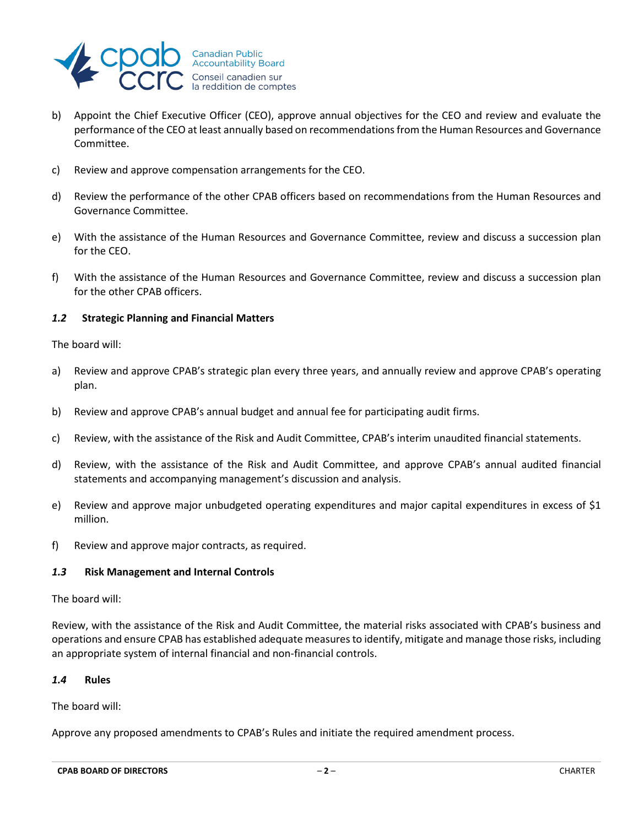

- b) Appoint the Chief Executive Officer (CEO), approve annual objectives for the CEO and review and evaluate the performance of the CEO at least annually based on recommendations from the Human Resources and Governance Committee.
- c) Review and approve compensation arrangements for the CEO.
- d) Review the performance of the other CPAB officers based on recommendations from the Human Resources and Governance Committee.
- e) With the assistance of the Human Resources and Governance Committee, review and discuss a succession plan for the CEO.
- f) With the assistance of the Human Resources and Governance Committee, review and discuss a succession plan for the other CPAB officers.

#### *1.2* **Strategic Planning and Financial Matters**

The board will:

- a) Review and approve CPAB's strategic plan every three years, and annually review and approve CPAB's operating plan.
- b) Review and approve CPAB's annual budget and annual fee for participating audit firms.
- c) Review, with the assistance of the Risk and Audit Committee, CPAB's interim unaudited financial statements.
- d) Review, with the assistance of the Risk and Audit Committee, and approve CPAB's annual audited financial statements and accompanying management's discussion and analysis.
- e) Review and approve major unbudgeted operating expenditures and major capital expenditures in excess of \$1 million.
- f) Review and approve major contracts, as required.

#### *1.3* **Risk Management and Internal Controls**

The board will:

Review, with the assistance of the Risk and Audit Committee, the material risks associated with CPAB's business and operations and ensure CPAB has established adequate measures to identify, mitigate and manage those risks, including an appropriate system of internal financial and non-financial controls.

#### *1.4* **Rules**

The board will:

Approve any proposed amendments to CPAB's Rules and initiate the required amendment process.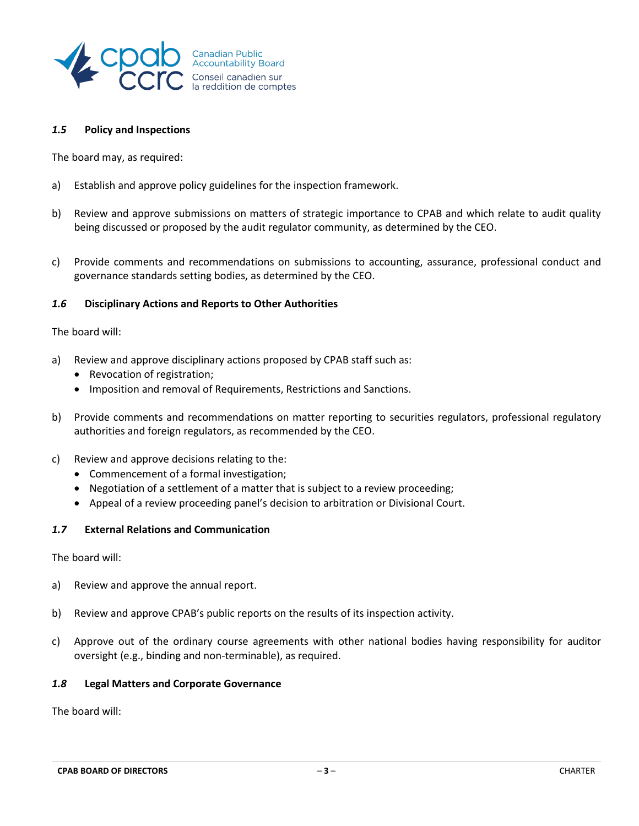

#### *1.5* **Policy and Inspections**

The board may, as required:

- a) Establish and approve policy guidelines for the inspection framework.
- b) Review and approve submissions on matters of strategic importance to CPAB and which relate to audit quality being discussed or proposed by the audit regulator community, as determined by the CEO.
- c) Provide comments and recommendations on submissions to accounting, assurance, professional conduct and governance standards setting bodies, as determined by the CEO.

#### *1.6* **Disciplinary Actions and Reports to Other Authorities**

The board will:

- a) Review and approve disciplinary actions proposed by CPAB staff such as:
	- Revocation of registration;
	- Imposition and removal of Requirements, Restrictions and Sanctions.
- b) Provide comments and recommendations on matter reporting to securities regulators, professional regulatory authorities and foreign regulators, as recommended by the CEO.
- c) Review and approve decisions relating to the:
	- Commencement of a formal investigation;
	- Negotiation of a settlement of a matter that is subject to a review proceeding;
	- Appeal of a review proceeding panel's decision to arbitration or Divisional Court.

#### *1.7* **External Relations and Communication**

The board will:

- a) Review and approve the annual report.
- b) Review and approve CPAB's public reports on the results of its inspection activity.
- c) Approve out of the ordinary course agreements with other national bodies having responsibility for auditor oversight (e.g., binding and non-terminable), as required.

#### *1.8* **Legal Matters and Corporate Governance**

The board will: